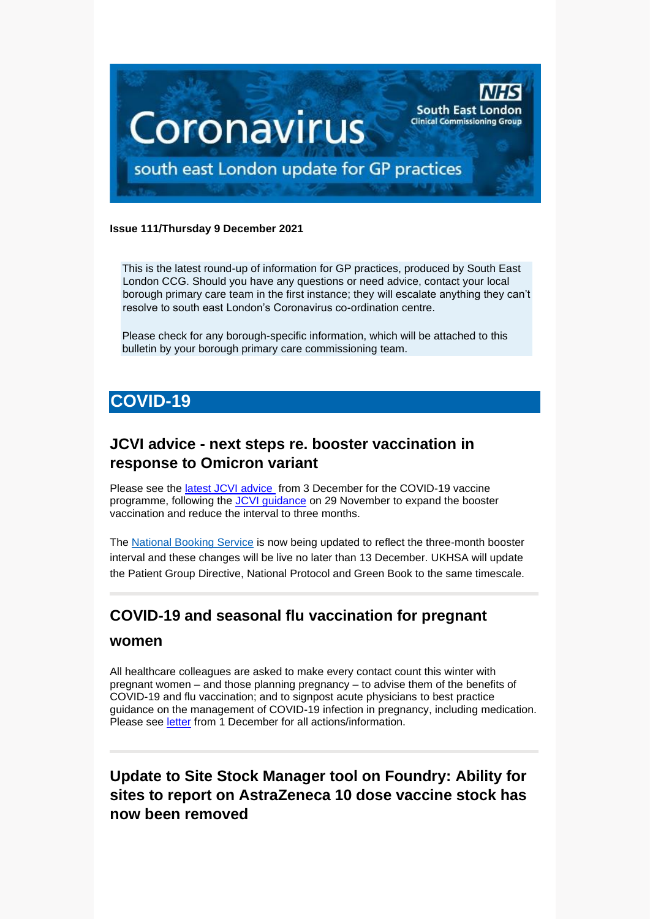

#### **Issue 111/Thursday 9 December 2021**

This is the latest round-up of information for GP practices, produced by South East London CCG. Should you have any questions or need advice, contact your local borough primary care team in the first instance; they will escalate anything they can't resolve to south east London's Coronavirus co-ordination centre.

Please check for any borough-specific information, which will be attached to this bulletin by your borough primary care commissioning team.

# **COVID-19**

# **JCVI advice - next steps re. booster vaccination in response to Omicron variant**

Please see the [latest JCVI advice](https://selondonccg.nhs.uk/wp-content/uploads/2021/12/C1468-JCVI-advice-in-response-to-the-emergence-of-the-B.-1.-1.529-Omicr.._.pdf) from 3 December for the COVID-19 vaccine programme, following the [JCVI guidance](https://www.gov.uk/government/publications/uk-vaccine-response-to-the-omicron-variant-jcvi-advice/jcvi-advice-on-the-uk-vaccine-response-to-the-omicron-variant) on 29 November to expand the booster vaccination and reduce the interval to three months.

The [National Booking Service](https://healthcareleadersupdate.cmail20.com/t/d-l-adyjjc-ttjhtjudo-t/) is now being updated to reflect the three-month booster interval and these changes will be live no later than 13 December. UKHSA will update the Patient Group Directive, National Protocol and Green Book to the same timescale.

# **COVID-19 and seasonal flu vaccination for pregnant**

#### **women**

All healthcare colleagues are asked to make every contact count this winter with pregnant women – and those planning pregnancy – to advise them of the benefits of COVID-19 and flu vaccination; and to signpost acute physicians to best practice guidance on the management of COVID-19 infection in pregnancy, including medication. Please see [letter](https://selondonccg.nhs.uk/wp-content/uploads/2021/12/C1458-FOR-ACTION-COVID-19-and-seasonal-flu-vaccination-for-pregnant-women.pdf) from 1 December for all actions/information.

# **Update to Site Stock Manager tool on Foundry: Ability for sites to report on AstraZeneca 10 dose vaccine stock has now been removed**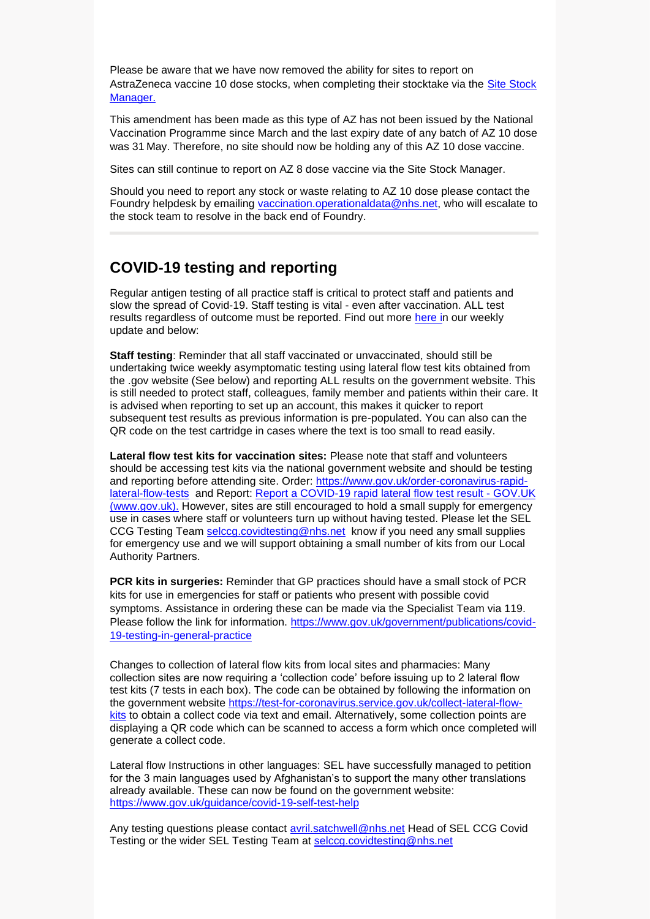Please be aware that we have now removed the ability for sites to report on AstraZeneca vaccine 10 dose stocks, when completing their stocktake via the [Site Stock](https://eur02.safelinks.protection.outlook.com/?url=https%3A%2F%2Fppds.palantirfoundry.co.uk%2Fworkspace%2Fcarbon%2Fri.carbon.main.workspace.8a82681c-7f9d-478c-b487-dce12b14cbbd%2Fri.workshop.main.module.0848f2f6-f131-4e15-98fb-aeffb6091683&data=04%7C01%7CImogen.Gold%40efficioconsulting.com%7C2b5ba4b621f74b47093d08d9b8c47f4e%7C6050d346c82b45fcbda86a1f58660092%7C0%7C0%7C637743976365334449%7CUnknown%7CTWFpbGZsb3d8eyJWIjoiMC4wLjAwMDAiLCJQIjoiV2luMzIiLCJBTiI6Ik1haWwiLCJXVCI6Mn0%3D%7C3000&sdata=aPcGHBKD4SsQd2bE9gRrN%2BAkHLzjODJRbmCB2WVu3VA%3D&reserved=0)  [Manager.](https://eur02.safelinks.protection.outlook.com/?url=https%3A%2F%2Fppds.palantirfoundry.co.uk%2Fworkspace%2Fcarbon%2Fri.carbon.main.workspace.8a82681c-7f9d-478c-b487-dce12b14cbbd%2Fri.workshop.main.module.0848f2f6-f131-4e15-98fb-aeffb6091683&data=04%7C01%7CImogen.Gold%40efficioconsulting.com%7C2b5ba4b621f74b47093d08d9b8c47f4e%7C6050d346c82b45fcbda86a1f58660092%7C0%7C0%7C637743976365334449%7CUnknown%7CTWFpbGZsb3d8eyJWIjoiMC4wLjAwMDAiLCJQIjoiV2luMzIiLCJBTiI6Ik1haWwiLCJXVCI6Mn0%3D%7C3000&sdata=aPcGHBKD4SsQd2bE9gRrN%2BAkHLzjODJRbmCB2WVu3VA%3D&reserved=0)

This amendment has been made as this type of AZ has not been issued by the National Vaccination Programme since March and the last expiry date of any batch of AZ 10 dose was 31 May. Therefore, no site should now be holding any of this AZ 10 dose vaccine.

Sites can still continue to report on AZ 8 dose vaccine via the Site Stock Manager.

Should you need to report any stock or waste relating to AZ 10 dose please contact the Foundry helpdesk by emailing [vaccination.operationaldata@nhs.net,](mailto:vaccination.operationaldata@nhs.net) who will escalate to the stock team to resolve in the back end of Foundry.

### **COVID-19 testing and reporting**

Regular antigen testing of all practice staff is critical to protect staff and patients and slow the spread of Covid-19. Staff testing is vital - even after vaccination. ALL test results regardless of outcome must be reported. Find out more [here](https://selondonccg.nhs.uk/wp-content/uploads/2021/12/key-messages-for-GP-Bulletin-03-December-2021.pdf) in our weekly update and below:

**Staff testing**: Reminder that all staff vaccinated or unvaccinated, should still be undertaking twice weekly asymptomatic testing using lateral flow test kits obtained from the .gov website (See below) and reporting ALL results on the government website. This is still needed to protect staff, colleagues, family member and patients within their care. It is advised when reporting to set up an account, this makes it quicker to report subsequent test results as previous information is pre-populated. You can also can the QR code on the test cartridge in cases where the text is too small to read easily.

**Lateral flow test kits for vaccination sites:** Please note that staff and volunteers should be accessing test kits via the national government website and should be testing and reporting before attending site. Order: [https://www.gov.uk/order-coronavirus-rapid](https://www.gov.uk/order-coronavirus-rapid-lateral-flow-tests)[lateral-flow-tests](https://www.gov.uk/order-coronavirus-rapid-lateral-flow-tests) and Report: [Report a COVID-19 rapid lateral flow test result -](https://www.gov.uk/report-covid19-result) GOV.UK [\(www.gov.uk\).](https://www.gov.uk/report-covid19-result) However, sites are still encouraged to hold a small supply for emergency use in cases where staff or volunteers turn up without having tested. Please let the SEL CCG Testing Team [selccg.covidtesting@nhs.net](mailto:selccg.covidtesting@nhs.net) know if you need any small supplies for emergency use and we will support obtaining a small number of kits from our Local Authority Partners.

**PCR kits in surgeries:** Reminder that GP practices should have a small stock of PCR kits for use in emergencies for staff or patients who present with possible covid symptoms. Assistance in ordering these can be made via the Specialist Team via 119. Please follow the link for information. [https://www.gov.uk/government/publications/covid-](https://www.gov.uk/government/publications/covid-19-testing-in-general-practice)[19-testing-in-general-practice](https://www.gov.uk/government/publications/covid-19-testing-in-general-practice)

Changes to collection of lateral flow kits from local sites and pharmacies: Many collection sites are now requiring a 'collection code' before issuing up to 2 lateral flow test kits (7 tests in each box). The code can be obtained by following the information on the government website [https://test-for-coronavirus.service.gov.uk/collect-lateral-flow](https://test-for-coronavirus.service.gov.uk/collect-lateral-flow-kits)[kits](https://test-for-coronavirus.service.gov.uk/collect-lateral-flow-kits) to obtain a collect code via text and email. Alternatively, some collection points are displaying a QR code which can be scanned to access a form which once completed will generate a collect code.

Lateral flow Instructions in other languages: SEL have successfully managed to petition for the 3 main languages used by Afghanistan's to support the many other translations already available. These can now be found on the government website: <https://www.gov.uk/guidance/covid-19-self-test-help>

Any testing questions please contact [avril.satchwell@nhs.net](mailto:avril.satchwell@nhs.net) Head of SEL CCG Covid Testing or the wider SEL Testing Team at [selccg.covidtesting@nhs.net](mailto:selccg.covidtesting@nhs.net)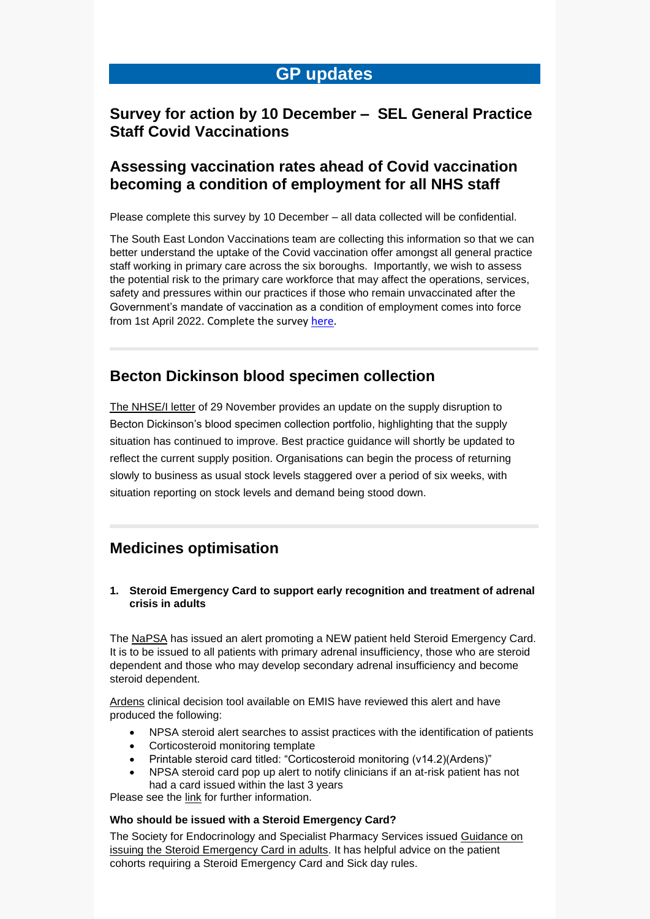## **GP updates**

#### **Survey for action by 10 December – SEL General Practice Staff Covid Vaccinations**

#### **Assessing vaccination rates ahead of Covid vaccination becoming a condition of employment for all NHS staff**

Please complete this survey by 10 December – all data collected will be confidential.

The South East London Vaccinations team are collecting this information so that we can better understand the uptake of the Covid vaccination offer amongst all general practice staff working in primary care across the six boroughs. Importantly, we wish to assess the potential risk to the primary care workforce that may affect the operations, services, safety and pressures within our practices if those who remain unvaccinated after the Government's mandate of vaccination as a condition of employment comes into force from 1st April 2022. Complete the survey [here.](https://www.surveymonkey.co.uk/r/79MFKCR)

### **Becton Dickinson blood specimen collection**

[The NHSE/I letter](https://www.england.nhs.uk/publication/becton-dickinson-blood-specimen-collection-portfolio-supply-disruption/) of 29 November provides an update on the supply disruption to Becton Dickinson's blood specimen collection portfolio, highlighting that the supply situation has continued to improve. Best practice guidance will shortly be updated to reflect the current supply position. Organisations can begin the process of returning slowly to business as usual stock levels staggered over a period of six weeks, with situation reporting on stock levels and demand being stood down.

### **Medicines optimisation**

**1. Steroid Emergency Card to support early recognition and treatment of adrenal crisis in adults**

The [NaPSA](https://www.england.nhs.uk/wp-content/uploads/2020/08/NPSA-Emergency-Steroid-Card-FINAL-2.3.pdf) has issued an alert promoting a NEW patient held Steroid Emergency Card. It is to be issued to all patients with primary adrenal insufficiency, those who are steroid dependent and those who may develop secondary adrenal insufficiency and become steroid dependent.

[Ardens](https://www.ardens.org.uk/what-is-ardens/) clinical decision tool available on EMIS have reviewed this alert and have produced the following:

- NPSA steroid alert searches to assist practices with the identification of patients
- Corticosteroid monitoring template
- Printable steroid card titled: "Corticosteroid monitoring (v14.2)(Ardens)"
- NPSA steroid card pop up alert to notify clinicians if an at-risk patient has not had a card issued within the last 3 years

Please see the [link](https://support-ew.ardens.org.uk/support/solutions/articles/31000158989-npsa-steroid-alerts) for further information.

#### **Who should be issued with a Steroid Emergency Card?**

The Society for Endocrinology and Specialist Pharmacy Services issued [Guidance on](https://www.endocrinology.org/media/4091/spssfe_supporting_sec_-final_10032021-1.pdf)  [issuing the Steroid Emergency Card in adults.](https://www.endocrinology.org/media/4091/spssfe_supporting_sec_-final_10032021-1.pdf) It has helpful advice on the patient cohorts requiring a Steroid Emergency Card and Sick day rules.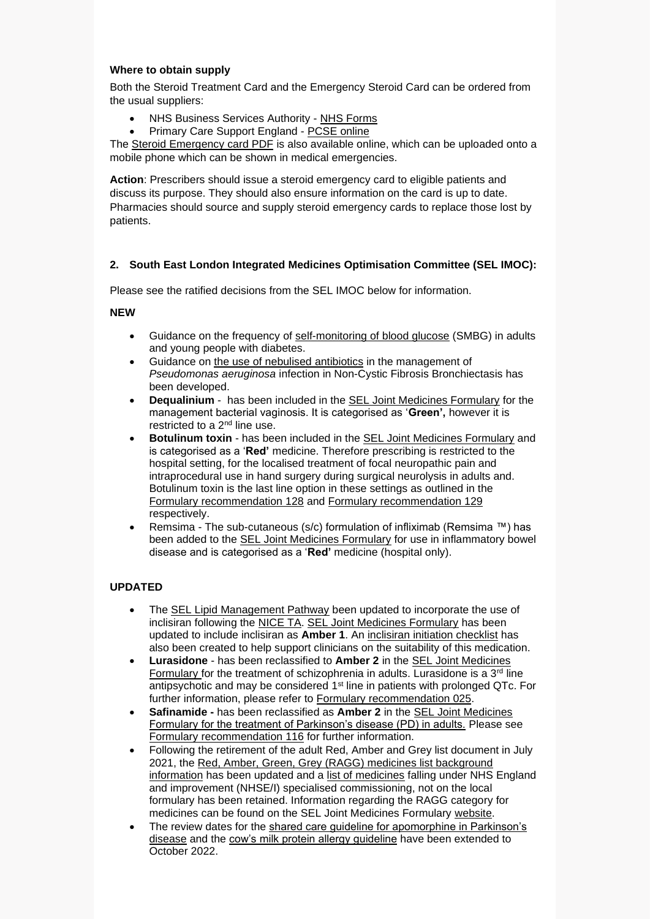#### **Where to obtain supply**

Both the Steroid Treatment Card and the Emergency Steroid Card can be ordered from the usual suppliers:

- NHS Business Services Authority [NHS Forms](http://www.nhsforms.co.uk/)
- Primary Care Support England [PCSE online](https://secure.pcse.england.nhs.uk/_forms/pcsssignin.aspx)

The [Steroid Emergency card PDF](https://www.endocrinology.org/media/3873/steroid-card.pdf) is also available online, which can be uploaded onto a mobile phone which can be shown in medical emergencies.

**Action**: Prescribers should issue a steroid emergency card to eligible patients and discuss its purpose. They should also ensure information on the card is up to date. Pharmacies should source and supply steroid emergency cards to replace those lost by patients.

#### **2. South East London Integrated Medicines Optimisation Committee (SEL IMOC):**

Please see the ratified decisions from the SEL IMOC below for information.

#### **NEW**

- Guidance on the frequency of [self-monitoring of blood glucose](https://selondonccg.nhs.uk/download/15999/) (SMBG) in adults and young people with diabetes.
- Guidance on [the use of nebulised antibiotics](https://selondonccg.nhs.uk/wp-content/uploads/dlm_uploads/2021/11/Pseudomonas-guideline-NON-CF-Bronchiectasis-Nov-21-FINAL.pdf) in the management of *Pseudomonas aeruginosa* infection in Non-Cystic Fibrosis Bronchiectasis has been developed.
- **Dequalinium** has been included in the [SEL Joint Medicines Formulary](https://www.selondonjointmedicinesformulary.nhs.uk/chaptersSubDetails.asp?FormularySectionID=7&SubSectionRef=07.02.02&SubSectionID=C100&drugmatch=6394#6394) for the management bacterial vaginosis. It is categorised as '**Green',** however it is restricted to a 2nd line use.
- **Botulinum toxin** has been included in the [SEL Joint Medicines Formulary](https://www.selondonjointmedicinesformulary.nhs.uk/chaptersSubDetails.asp?FormularySectionID=4&SubSectionRef=04.07.03&SubSectionID=A100&drugmatch=6393#6393) and is categorised as a '**Red'** medicine. Therefore prescribing is restricted to the hospital setting, for the localised treatment of focal neuropathic pain and intraprocedural use in hand surgery during surgical neurolysis in adults and. Botulinum toxin is the last line option in these settings as outlined in the [Formulary recommendation 128](https://selondonccg.nhs.uk/download/15730/) and [Formulary recommendation 129](https://selondonccg.nhs.uk/download/15733/) respectively.
- Remsima The sub-cutaneous (s/c) formulation of infliximab (Remsima ™) has been added to the [SEL Joint Medicines Formulary](https://www.selondonjointmedicinesformulary.nhs.uk/chaptersSubDetails.asp?FormularySectionID=1&SubSectionRef=01.05.03&SubSectionID=B100&drugmatch=6395#6395) for use in inflammatory bowel disease and is categorised as a '**Red'** medicine (hospital only).

#### **UPDATED**

- The [SEL Lipid Management Pathway](https://selondonccg.nhs.uk/wp-content/uploads/dlm_uploads/2021/11/Lipid-management-SEL-pathways-Nov-21-FINAL.pdf) been updated to incorporate the use of inclisiran following the [NICE TA.](https://www.nice.org.uk/guidance/ta733) [SEL Joint Medicines Formulary](https://www.selondonjointmedicinesformulary.nhs.uk/chaptersSubDetails.asp?FormularySectionID=2&SubSectionRef=02.12&SubSectionID=I100&drugmatch=6389#6389) has been updated to include inclisiran as **Amber 1**. An [inclisiran initiation checklist](https://selondonccg.nhs.uk/download/15993/) has also been created to help support clinicians on the suitability of this medication.
- **Lurasidone** has been reclassified to **Amber 2** in the [SEL Joint Medicines](https://www.selondonjointmedicinesformulary.nhs.uk/chaptersSubDetails.asp?FormularySectionID=4&SubSectionRef=04.02.01&SubSectionID=B100&drugmatch=4518#4518)  [Formulary](https://www.selondonjointmedicinesformulary.nhs.uk/chaptersSubDetails.asp?FormularySectionID=4&SubSectionRef=04.02.01&SubSectionID=B100&drugmatch=4518#4518) for the treatment of schizophrenia in adults. Lurasidone is a  $3<sup>rd</sup>$  line antipsychotic and may be considered 1st line in patients with prolonged QTc. For further information, please refer to [Formulary recommendation 025.](https://selondonccg.nhs.uk/download/11803/)
- **Safinamide -** has been reclassified as **Amber 2** in the [SEL Joint Medicines](https://www.selondonjointmedicinesformulary.nhs.uk/chaptersSubDetails.asp?FormularySectionID=4&SubSectionRef=04.09.01&SubSectionID=D100&drugmatch=6116#6116)  [Formulary for the treatment of Parkinson's disease \(PD\) in adults.](https://www.selondonjointmedicinesformulary.nhs.uk/chaptersSubDetails.asp?FormularySectionID=4&SubSectionRef=04.09.01&SubSectionID=D100&drugmatch=6116#6116) Please see [Formulary recommendation 116](https://selondonccg.nhs.uk/wp-content/uploads/dlm_uploads/2021/09/Recommendation-119-Safinamide-for-PD-AMBER-2-Oct-2021-FINAL.pdf) for further information.
- Following the retirement of the adult Red, Amber and Grey list document in July 2021, the [Red, Amber, Green, Grey \(RAGG\) medicines list background](https://selondonccg.nhs.uk/download/12341/)  [information](https://selondonccg.nhs.uk/download/12341/) has been updated and a [list of medicines](https://selondonccg.nhs.uk/download/15736/) falling under NHS England and improvement (NHSE/I) specialised commissioning, not on the local formulary has been retained. Information regarding the RAGG category for medicines can be found on the SEL Joint Medicines Formulary [website.](https://www.selondonjointmedicinesformulary.nhs.uk/)
- The review dates for the [shared care guideline for apomorphine in Parkinson's](https://selondonccg.nhs.uk/download/12398/)  [disease](https://selondonccg.nhs.uk/download/12398/) and the [cow's milk protein allergy guideline](https://selondonccg.nhs.uk/download/12160/) have been extended to October 2022.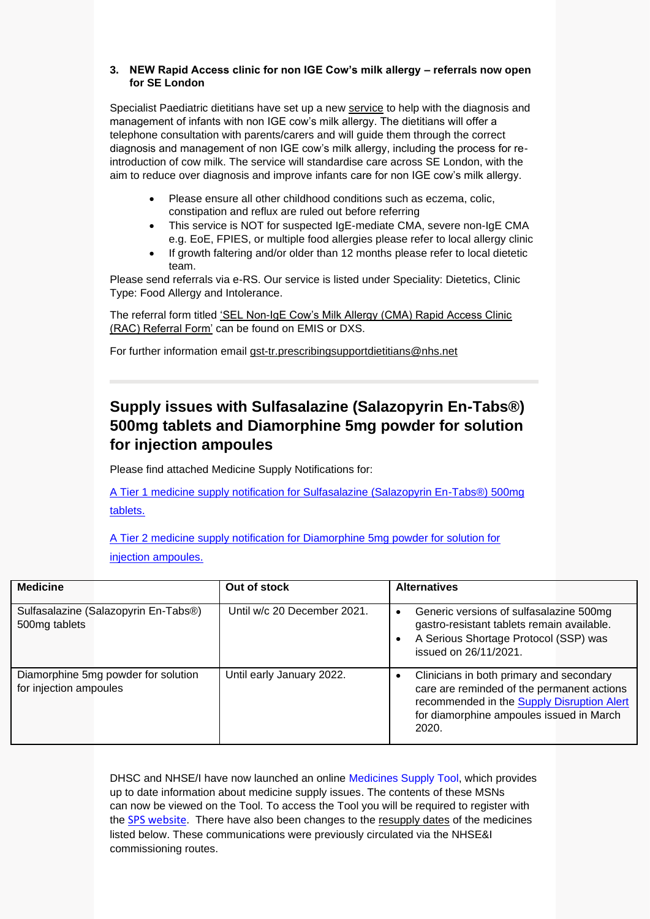#### **3. NEW Rapid Access clinic for non IGE Cow's milk allergy – referrals now open for SE London**

Specialist Paediatric dietitians have set up a new [service](https://selondonccg.nhs.uk/wp-content/uploads/2021/12/Rac-flyer-002.docx) to help with the diagnosis and management of infants with non IGE cow's milk allergy. The dietitians will offer a telephone consultation with parents/carers and will guide them through the correct diagnosis and management of non IGE cow's milk allergy, including the process for reintroduction of cow milk. The service will standardise care across SE London, with the aim to reduce over diagnosis and improve infants care for non IGE cow's milk allergy.

- Please ensure all other childhood conditions such as eczema, colic, constipation and reflux are ruled out before referring
- This service is NOT for suspected IgE-mediate CMA, severe non-IgE CMA e.g. EoE, FPIES, or multiple food allergies please refer to local allergy clinic
- If growth faltering and/or older than 12 months please refer to local dietetic team.

Please send referrals via e-RS. Our service is listed under Speciality: Dietetics, Clinic Type: Food Allergy and Intolerance.

The referral form titled ['SEL Non-IgE Cow's Milk Allergy \(CMA\) Rapid Access Clinic](https://selondonccg.nhs.uk/wp-content/uploads/2021/12/CMA-RAC-Referral-form-2021-V2.docx)  [\(RAC\) Referral Form'](https://selondonccg.nhs.uk/wp-content/uploads/2021/12/CMA-RAC-Referral-form-2021-V2.docx) can be found on EMIS or DXS.

For further information email [gst-tr.prescribingsupportdietitians@nhs.net](mailto:gst-tr.prescribingsupportdietitians@nhs.net)

# **Supply issues with Sulfasalazine (Salazopyrin En-Tabs®) 500mg tablets and Diamorphine 5mg powder for solution for injection ampoules**

Please find attached Medicine Supply Notifications for:

[A Tier 1 medicine supply notification for Sulfasalazine \(Salazopyrin En-Tabs®\) 500mg](https://selondonccg.nhs.uk/wp-content/uploads/2021/12/MSN_2021_061-Sulfasalazine-Salazopyrin-En-Tabs®-500mg-tablets.pdf)  [tablets.](https://selondonccg.nhs.uk/wp-content/uploads/2021/12/MSN_2021_061-Sulfasalazine-Salazopyrin-En-Tabs®-500mg-tablets.pdf)

[A Tier 2 medicine supply notification for Diamorphine 5mg powder for solution for](https://selondonccg.nhs.uk/wp-content/uploads/2021/12/MSN_2021_062-Diamorphine-5mg-powder-for-solution-for-injection-ampoules.pdf)  [injection ampoules.](https://selondonccg.nhs.uk/wp-content/uploads/2021/12/MSN_2021_062-Diamorphine-5mg-powder-for-solution-for-injection-ampoules.pdf)

| <b>Medicine</b>                                               | Out of stock                | <b>Alternatives</b>                                                                                                                                                                       |  |  |
|---------------------------------------------------------------|-----------------------------|-------------------------------------------------------------------------------------------------------------------------------------------------------------------------------------------|--|--|
| Sulfasalazine (Salazopyrin En-Tabs®)<br>500mg tablets         | Until w/c 20 December 2021. | Generic versions of sulfasalazine 500mg<br>gastro-resistant tablets remain available.<br>A Serious Shortage Protocol (SSP) was<br>issued on 26/11/2021.                                   |  |  |
| Diamorphine 5mg powder for solution<br>for injection ampoules | Until early January 2022.   | Clinicians in both primary and secondary<br>care are reminded of the permanent actions<br>recommended in the Supply Disruption Alert<br>for diamorphine ampoules issued in March<br>2020. |  |  |

DHSC and NHSE/I have now launched an online [Medicines Supply Tool,](https://www.sps.nhs.uk/home/planning/medicines-supply-tool/) which provides up to date information about medicine supply issues. The contents of these MSNs can now be viewed on the Tool. To access the Tool you will be required to register with the [SPS website](https://www.sps.nhs.uk/). There have also been changes to the resupply dates of the medicines listed below. These communications were previously circulated via the NHSE&I commissioning routes.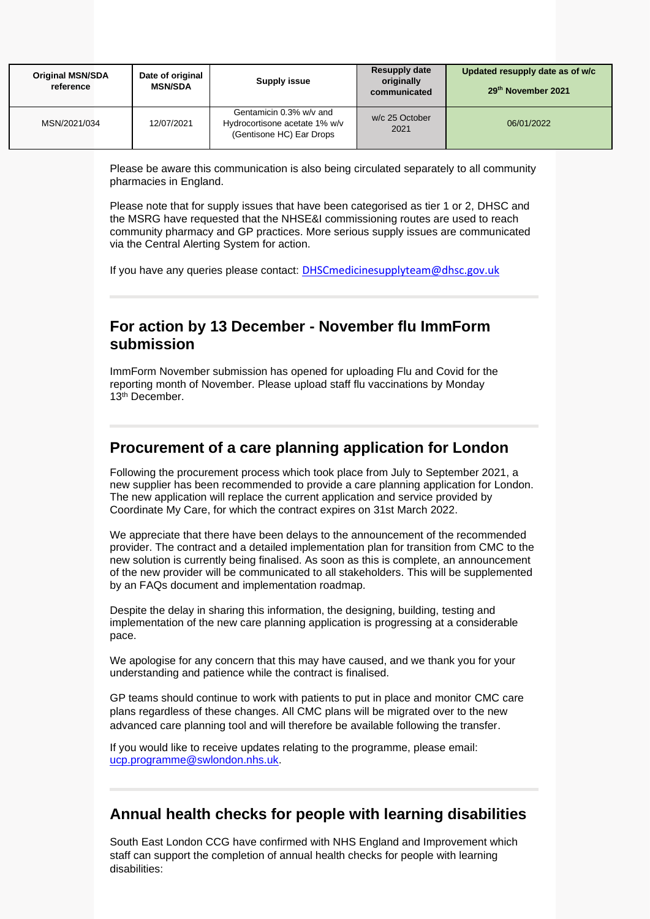| <b>Original MSN/SDA</b><br>reference | Date of original<br><b>MSN/SDA</b> | Supply issue                                                                         | <b>Resupply date</b><br>originally<br>communicated | Updated resupply date as of w/c<br>29th November 2021 |
|--------------------------------------|------------------------------------|--------------------------------------------------------------------------------------|----------------------------------------------------|-------------------------------------------------------|
| MSN/2021/034                         | 12/07/2021                         | Gentamicin 0.3% w/v and<br>Hydrocortisone acetate 1% w/v<br>(Gentisone HC) Ear Drops | w/c 25 October<br>2021                             | 06/01/2022                                            |

Please be aware this communication is also being circulated separately to all community pharmacies in England.

Please note that for supply issues that have been categorised as tier 1 or 2, DHSC and the MSRG have requested that the NHSE&I commissioning routes are used to reach community pharmacy and GP practices. More serious supply issues are communicated via the Central Alerting System for action.

If you have any queries please contact: [DHSCmedicinesupplyteam@dhsc.gov.uk](mailto:DHSCmedicinesupplyteam@dhsc.gov.uk)

### **For action by 13 December - November flu ImmForm submission**

ImmForm November submission has opened for uploading Flu and Covid for the reporting month of November. Please upload staff flu vaccinations by Monday 13th December.

## **Procurement of a care planning application for London**

Following the procurement process which took place from July to September 2021, a new supplier has been recommended to provide a care planning application for London. The new application will replace the current application and service provided by Coordinate My Care, for which the contract expires on 31st March 2022.

We appreciate that there have been delays to the announcement of the recommended provider. The contract and a detailed implementation plan for transition from CMC to the new solution is currently being finalised. As soon as this is complete, an announcement of the new provider will be communicated to all stakeholders. This will be supplemented by an FAQs document and implementation roadmap.

Despite the delay in sharing this information, the designing, building, testing and implementation of the new care planning application is progressing at a considerable pace.

We apologise for any concern that this may have caused, and we thank you for your understanding and patience while the contract is finalised.

GP teams should continue to work with patients to put in place and monitor CMC care plans regardless of these changes. All CMC plans will be migrated over to the new advanced care planning tool and will therefore be available following the transfer.

If you would like to receive updates relating to the programme, please email: [ucp.programme@swlondon.nhs.uk.](mailto:ucp.programme@swlondon.nhs.uk)

### **Annual health checks for people with learning disabilities**

South East London CCG have confirmed with NHS England and Improvement which staff can support the completion of annual health checks for people with learning disabilities: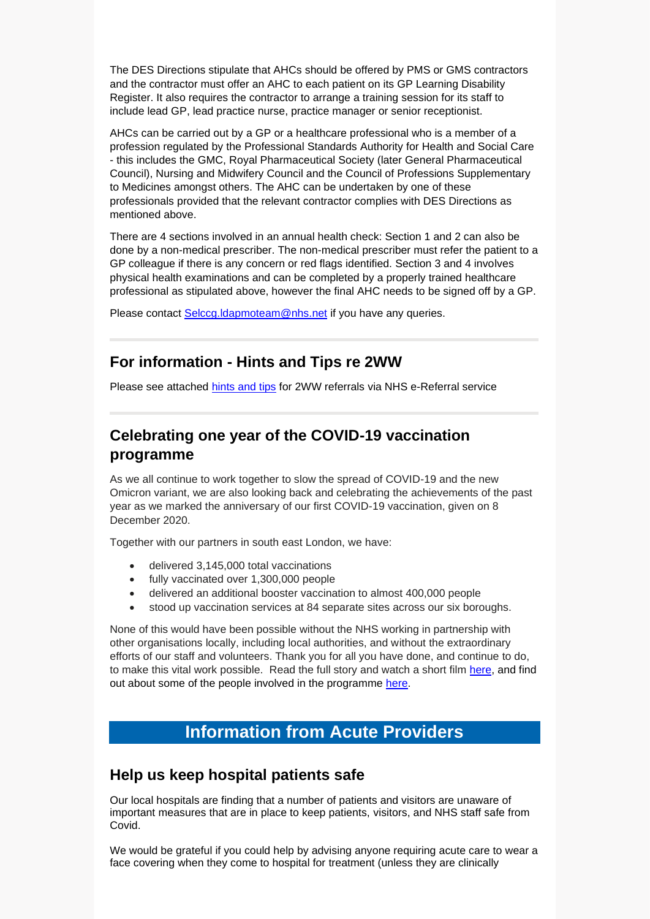The DES Directions stipulate that AHCs should be offered by PMS or GMS contractors and the contractor must offer an AHC to each patient on its GP Learning Disability Register. It also requires the contractor to arrange a training session for its staff to include lead GP, lead practice nurse, practice manager or senior receptionist.

AHCs can be carried out by a GP or a healthcare professional who is a member of a profession regulated by the Professional Standards Authority for Health and Social Care - this includes the GMC, Royal Pharmaceutical Society (later General Pharmaceutical Council), Nursing and Midwifery Council and the Council of Professions Supplementary to Medicines amongst others. The AHC can be undertaken by one of these professionals provided that the relevant contractor complies with DES Directions as mentioned above.

There are 4 sections involved in an annual health check: Section 1 and 2 can also be done by a non-medical prescriber. The non-medical prescriber must refer the patient to a GP colleague if there is any concern or red flags identified. Section 3 and 4 involves physical health examinations and can be completed by a properly trained healthcare professional as stipulated above, however the final AHC needs to be signed off by a GP.

Please contact Selccg.Idapmoteam@nhs.net if you have any queries.

### **For information - Hints and Tips re 2WW**

Please see attached [hints and tips](https://selondonccg.nhs.uk/wp-content/uploads/2021/12/01.09.21-2WW-Hints-and-Tips-Final.docx) for 2WW referrals via NHS e-Referral service

# **Celebrating one year of the COVID-19 vaccination programme**

As we all continue to work together to slow the spread of COVID-19 and the new Omicron variant, we are also looking back and celebrating the achievements of the past year as we marked the anniversary of our first COVID-19 vaccination, given on 8 December 2020.

Together with our partners in south east London, we have:

- delivered 3,145,000 total vaccinations
- fully vaccinated over 1,300,000 people
- delivered an additional booster vaccination to almost 400,000 people
- stood up vaccination services at 84 separate sites across our six boroughs.

None of this would have been possible without the NHS working in partnership with other organisations locally, including local authorities, and without the extraordinary efforts of our staff and volunteers. Thank you for all you have done, and continue to do, to make this vital work possible. Read the full story and watch a short film [here,](https://selondonccg.nhs.uk/news/celebrating-one-year-of-the-covid-19-vaccination-programme/) and find out about some of the people involved in the programme [here.](https://selondonccg.nhs.uk/what-we-do/covid-19/covid-19-vaccine/latest-progress-in-south-east-london/one-year-on-case-studies/)

# **Information from Acute Providers**

### **Help us keep hospital patients safe**

Our local hospitals are finding that a number of patients and visitors are unaware of important measures that are in place to keep patients, visitors, and NHS staff safe from Covid.

We would be grateful if you could help by advising anyone requiring acute care to wear a face covering when they come to hospital for treatment (unless they are clinically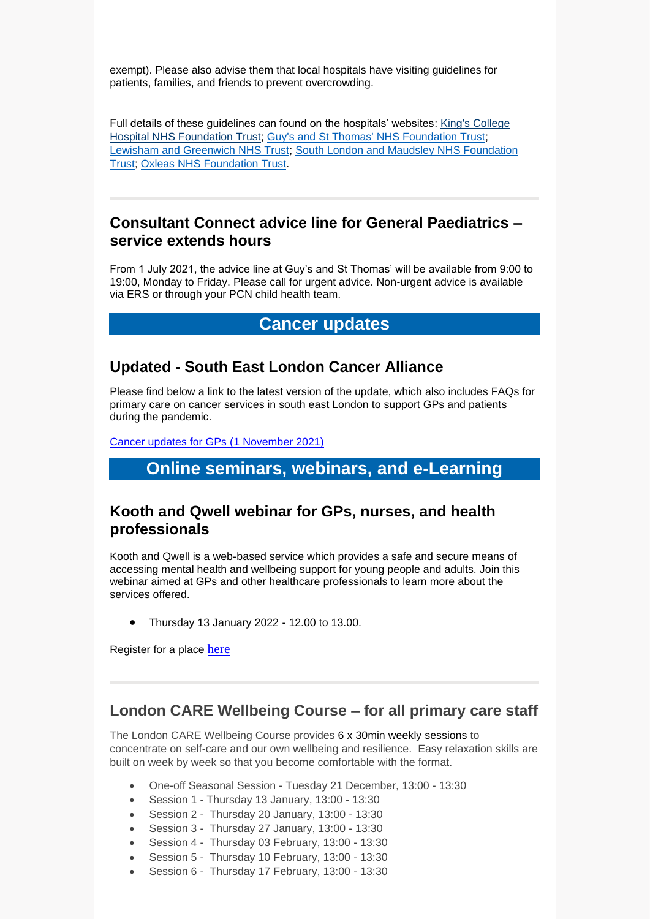exempt). Please also advise them that local hospitals have visiting guidelines for patients, families, and friends to prevent overcrowding.

Full details of these guidelines can found on the hospitals' websites: King's College [Hospital NHS Foundation Trust;](https://www.kch.nhs.uk/) [Guy's and St Thomas' NHS Foundation Trust;](http://www.guysandstthomas.nhs.uk/Home.aspx) [Lewisham and Greenwich NHS Trust;](https://www.lewishamandgreenwich.nhs.uk/) [South London and Maudsley NHS Foundation](http://www.slam.nhs.uk/)  [Trust;](http://www.slam.nhs.uk/) [Oxleas NHS Foundation Trust.](http://oxleas.nhs.uk/)

#### **Consultant Connect advice line for General Paediatrics – service extends hours**

From 1 July 2021, the advice line at Guy's and St Thomas' will be available from 9:00 to 19:00, Monday to Friday. Please call for urgent advice. Non-urgent advice is available via ERS or through your PCN child health team.

### **Cancer updates**

#### **Updated - South East London Cancer Alliance**

Please find below a link to the latest version of the update, which also includes FAQs for primary care on cancer services in south east London to support GPs and patients during the pandemic.

[Cancer updates for GPs \(1](https://selondonccg.nhs.uk/wp-content/uploads/2021/11/SEL-Cancer-Updates-FAQs-for-Primary-Care-1-Nov-2021.pdf) November 2021)

# **Online seminars, webinars, and e-Learning**

#### **Kooth and Qwell webinar for GPs, nurses, and health professionals**

Kooth and Qwell is a web-based service which provides a safe and secure means of accessing mental health and wellbeing support for young people and adults. Join this webinar aimed at GPs and other healthcare professionals to learn more about the services offered.

• Thursday 13 January 2022 - 12.00 to 13.00.

Register for a place [here](https://docs.google.com/forms/d/e/1FAIpQLSdeP_ixe0iahN9tAF1QvFS4H4PCNvjm3MGkJe7Ka8KS3ngAAA/viewform)

### **London CARE Wellbeing Course – for all primary care staff**

The London CARE Wellbeing Course provides 6 x 30min weekly sessions to concentrate on self-care and our own wellbeing and resilience. Easy relaxation skills are built on week by week so that you become comfortable with the format.

- One-off Seasonal Session Tuesday 21 December, 13:00 13:30
- Session 1 Thursday 13 January, 13:00 13:30
- Session 2 Thursday 20 January, 13:00 13:30
- Session 3 Thursday 27 January, 13:00 13:30
- Session 4 Thursday 03 February, 13:00 13:30
- Session 5 Thursday 10 February, 13:00 13:30
- Session 6 Thursday 17 February, 13:00 13:30